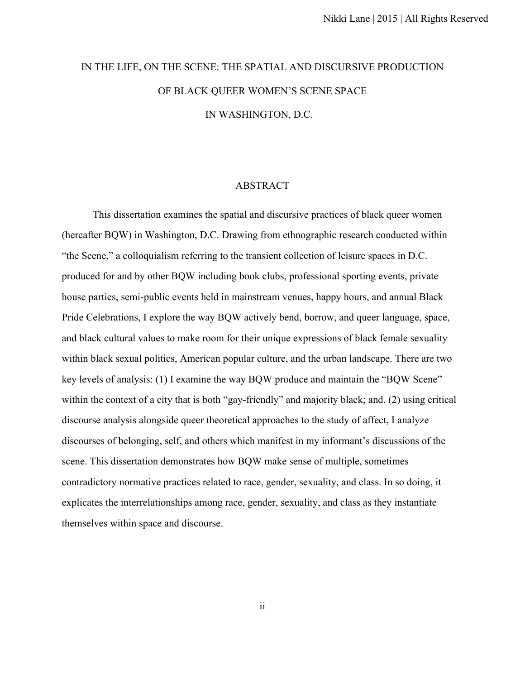## IN THE LIFE, ON THE SCENE: THE SPATIAL AND DISCURSIVE PRODUCTION OF BLACK QUEER WOMEN'S SCENE SPACE IN WASHINGTON, D.C.

## ABSTRACT

This dissertation examines the spatial and discursive practices of black queer women (hereafter BQW) in Washington, D.C. Drawing from ethnographic research conducted within "the Scene," a colloquialism referring to the transient collection of leisure spaces in D.C. produced for and by other BQW including book clubs, professional sporting events, private house parties, semi-public events held in mainstream venues, happy hours, and annual Black Pride Celebrations, I explore the way BQW actively bend, borrow, and queer language, space, and black cultural values to make room for their unique expressions of black female sexuality within black sexual politics, American popular culture, and the urban landscape. There are two key levels of analysis: (1) I examine the way BQW produce and maintain the "BQW Scene" within the context of a city that is both "gay-friendly" and majority black; and, (2) using critical discourse analysis alongside queer theoretical approaches to the study of affect, I analyze discourses of belonging, self, and others which manifest in my informant's discussions of the scene. This dissertation demonstrates how BQW make sense of multiple, sometimes contradictory normative practices related to race, gender, sexuality, and class. In so doing, it explicates the interrelationships among race, gender, sexuality, and class as they instantiate themselves within space and discourse.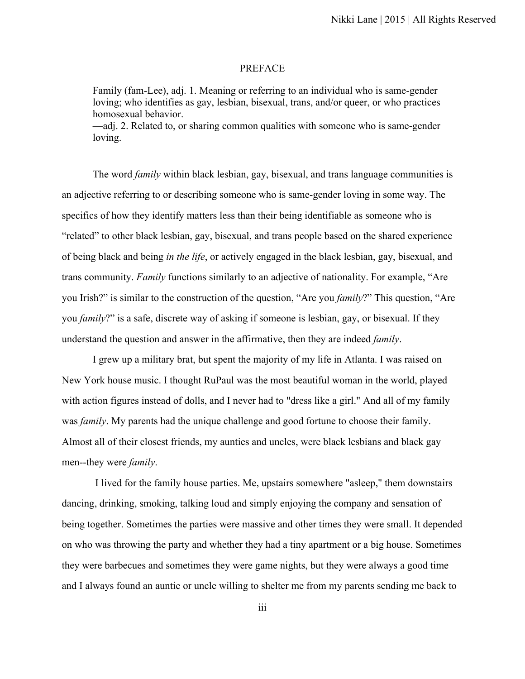## PREFACE

Family (fam-Lee), adj. 1. Meaning or referring to an individual who is same-gender loving; who identifies as gay, lesbian, bisexual, trans, and/or queer, or who practices homosexual behavior. —adj. 2. Related to, or sharing common qualities with someone who is same-gender

loving.

The word *family* within black lesbian, gay, bisexual, and trans language communities is an adjective referring to or describing someone who is same-gender loving in some way. The specifics of how they identify matters less than their being identifiable as someone who is "related" to other black lesbian, gay, bisexual, and trans people based on the shared experience of being black and being *in the life*, or actively engaged in the black lesbian, gay, bisexual, and trans community. *Family* functions similarly to an adjective of nationality. For example, "Are you Irish?" is similar to the construction of the question, "Are you *family*?" This question, "Are you *family*?" is a safe, discrete way of asking if someone is lesbian, gay, or bisexual. If they understand the question and answer in the affirmative, then they are indeed *family*.

I grew up a military brat, but spent the majority of my life in Atlanta. I was raised on New York house music. I thought RuPaul was the most beautiful woman in the world, played with action figures instead of dolls, and I never had to "dress like a girl." And all of my family was *family*. My parents had the unique challenge and good fortune to choose their family. Almost all of their closest friends, my aunties and uncles, were black lesbians and black gay men--they were *family*.

 I lived for the family house parties. Me, upstairs somewhere "asleep," them downstairs dancing, drinking, smoking, talking loud and simply enjoying the company and sensation of being together. Sometimes the parties were massive and other times they were small. It depended on who was throwing the party and whether they had a tiny apartment or a big house. Sometimes they were barbecues and sometimes they were game nights, but they were always a good time and I always found an auntie or uncle willing to shelter me from my parents sending me back to

iii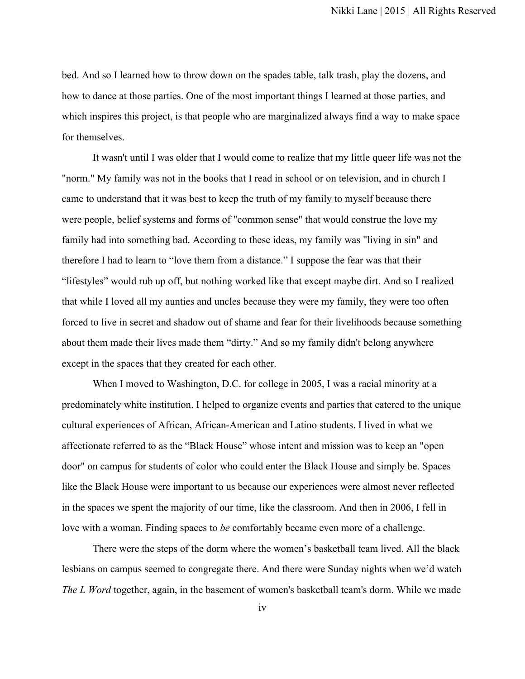bed. And so I learned how to throw down on the spades table, talk trash, play the dozens, and how to dance at those parties. One of the most important things I learned at those parties, and which inspires this project, is that people who are marginalized always find a way to make space for themselves.

It wasn't until I was older that I would come to realize that my little queer life was not the "norm." My family was not in the books that I read in school or on television, and in church I came to understand that it was best to keep the truth of my family to myself because there were people, belief systems and forms of "common sense" that would construe the love my family had into something bad. According to these ideas, my family was "living in sin" and therefore I had to learn to "love them from a distance." I suppose the fear was that their "lifestyles" would rub up off, but nothing worked like that except maybe dirt. And so I realized that while I loved all my aunties and uncles because they were my family, they were too often forced to live in secret and shadow out of shame and fear for their livelihoods because something about them made their lives made them "dirty." And so my family didn't belong anywhere except in the spaces that they created for each other.

When I moved to Washington, D.C. for college in 2005, I was a racial minority at a predominately white institution. I helped to organize events and parties that catered to the unique cultural experiences of African, African-American and Latino students. I lived in what we affectionate referred to as the "Black House" whose intent and mission was to keep an "open door" on campus for students of color who could enter the Black House and simply be. Spaces like the Black House were important to us because our experiences were almost never reflected in the spaces we spent the majority of our time, like the classroom. And then in 2006, I fell in love with a woman. Finding spaces to *be* comfortably became even more of a challenge.

There were the steps of the dorm where the women's basketball team lived. All the black lesbians on campus seemed to congregate there. And there were Sunday nights when we'd watch *The L Word* together, again, in the basement of women's basketball team's dorm. While we made